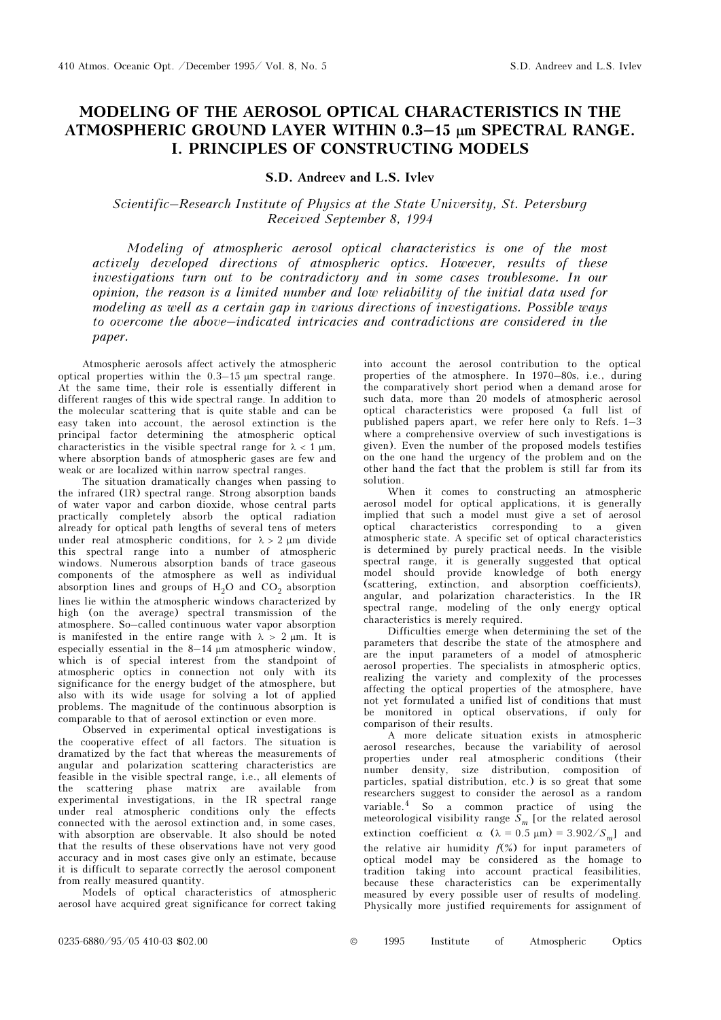## MODELING OF THE AEROSOL OPTICAL CHARACTERISTICS IN THE ATMOSPHERIC GROUND LAYER WITHIN 0.3–15 µm SPECTRAL RANGE. I. PRINCIPLES OF CONSTRUCTING MODELS

## S.D. Andreev and L.S. Ivlev

## Scientific–Research Institute of Physics at the State University, St. Petersburg Received September 8, 1994

Modeling of atmospheric aerosol optical characteristics is one of the most actively developed directions of atmospheric optics. However, results of these investigations turn out to be contradictory and in some cases troublesome. In our opinion, the reason is a limited number and low reliability of the initial data used for modeling as well as a certain gap in various directions of investigations. Possible ways to overcome the above–indicated intricacies and contradictions are considered in the paper.

Atmospheric aerosols affect actively the atmospheric optical properties within the 0.3–15 μm spectral range. At the same time, their role is essentially different in different ranges of this wide spectral range. In addition to the molecular scattering that is quite stable and can be easy taken into account, the aerosol extinction is the principal factor determining the atmospheric optical characteristics in the visible spectral range for  $\lambda < 1$  µm, where absorption bands of atmospheric gases are few and weak or are localized within narrow spectral ranges.

The situation dramatically changes when passing to the infrared (IR) spectral range. Strong absorption bands of water vapor and carbon dioxide, whose central parts practically completely absorb the optical radiation already for optical path lengths of several tens of meters under real atmospheric conditions, for  $\lambda > 2 \mu m$  divide this spectral range into a number of atmospheric windows. Numerous absorption bands of trace gaseous components of the atmosphere as well as individual absorption lines and groups of  $H_2O$  and  $CO_2$  absorption lines lie within the atmospheric windows characterized by high (on the average) spectral transmission of the atmosphere. So–called continuous water vapor absorption is manifested in the entire range with  $\lambda > 2 \mu m$ . It is especially essential in the 8–14 μm atmospheric window, which is of special interest from the standpoint of atmospheric optics in connection not only with its significance for the energy budget of the atmosphere, but also with its wide usage for solving a lot of applied problems. The magnitude of the continuous absorption is comparable to that of aerosol extinction or even more.

Observed in experimental optical investigations is the cooperative effect of all factors. The situation is dramatized by the fact that whereas the measurements of angular and polarization scattering characteristics are feasible in the visible spectral range, i.e., all elements of the scattering phase matrix are available from experimental investigations, in the IR spectral range under real atmospheric conditions only the effects connected with the aerosol extinction and, in some cases, with absorption are observable. It also should be noted that the results of these observations have not very good accuracy and in most cases give only an estimate, because it is difficult to separate correctly the aerosol component from really measured quantity.

Models of optical characteristics of atmospheric aerosol have acquired great significance for correct taking

into account the aerosol contribution to the optical properties of the atmosphere. In 1970–80s, i.e., during the comparatively short period when a demand arose for such data, more than 20 models of atmospheric aerosol optical characteristics were proposed (a full list of published papers apart, we refer here only to Refs. 1–3 where a comprehensive overview of such investigations is given). Even the number of the proposed models testifies on the one hand the urgency of the problem and on the other hand the fact that the problem is still far from its solution.

When it comes to constructing an atmospheric aerosol model for optical applications, it is generally implied that such a model must give a set of aerosol optical characteristics corresponding to a given atmospheric state. A specific set of optical characteristics is determined by purely practical needs. In the visible spectral range, it is generally suggested that optical model should provide knowledge of both energy (scattering, extinction, and absorption coefficients), angular, and polarization characteristics. In the IR spectral range, modeling of the only energy optical characteristics is merely required.

Difficulties emerge when determining the set of the parameters that describe the state of the atmosphere and are the input parameters of a model of atmospheric aerosol properties. The specialists in atmospheric optics, realizing the variety and complexity of the processes affecting the optical properties of the atmosphere, have not yet formulated a unified list of conditions that must be monitored in optical observations, if only for comparison of their results.

A more delicate situation exists in atmospheric aerosol researches, because the variability of aerosol properties under real atmospheric conditions (their number density, size distribution, composition of particles, spatial distribution, etc.) is so great that some researchers suggest to consider the aerosol as a random variable.<sup>4</sup> So a common practice of using the meteorological visibility range  $S_m$  [or the related aerosol extinction coefficient  $\alpha$  ( $\lambda = 0.5 \text{ }\mu\text{m}$ ) = 3.902/S<sub>m</sub>] and the relative air humidity  $f(x)$  for input parameters of optical model may be considered as the homage to tradition taking into account practical feasibilities, because these characteristics can be experimentally measured by every possible user of results of modeling. Physically more justified requirements for assignment of

0235-6880/95/05 410-03 \$02.00 © 1995 Institute of Atmospheric Optics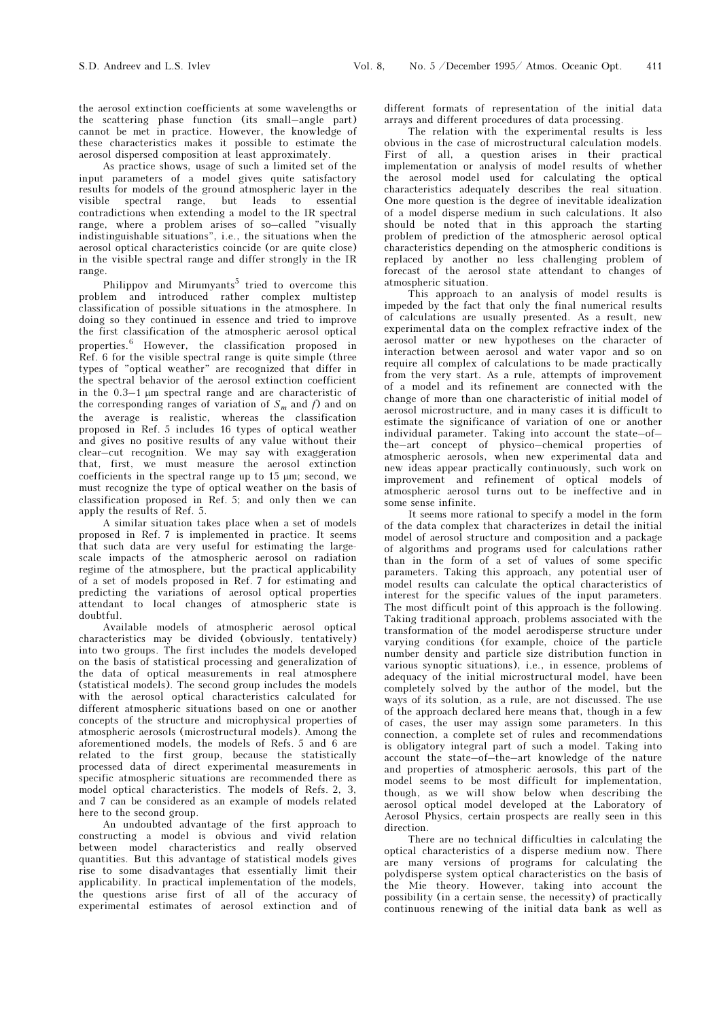the aerosol extinction coefficients at some wavelengths or the scattering phase function (its small–angle part) cannot be met in practice. However, the knowledge of these characteristics makes it possible to estimate the aerosol dispersed composition at least approximately.

As practice shows, usage of such a limited set of the input parameters of a model gives quite satisfactory results for models of the ground atmospheric layer in the visible spectral range, but leads to essential contradictions when extending a model to the IR spectral range, where a problem arises of so–called "visually indistinguishable situations", i.e., the situations when the aerosol optical characteristics coincide (or are quite close) in the visible spectral range and differ strongly in the IR range.

Philippov and Mirumyants<sup>5</sup> tried to overcome this problem and introduced rather complex multistep classification of possible situations in the atmosphere. In doing so they continued in essence and tried to improve the first classification of the atmospheric aerosol optical properties.<sup>6</sup> However, the classification proposed in Ref. 6 for the visible spectral range is quite simple (three types of "optical weather" are recognized that differ in the spectral behavior of the aerosol extinction coefficient in the 0.3–1 μm spectral range and are characteristic of the corresponding ranges of variation of  $S_m$  and f) and on the average is realistic, whereas the classification proposed in Ref. 5 includes 16 types of optical weather and gives no positive results of any value without their clear–cut recognition. We may say with exaggeration that, first, we must measure the aerosol extinction coefficients in the spectral range up to 15 μm; second, we must recognize the type of optical weather on the basis of classification proposed in Ref. 5; and only then we can apply the results of Ref. 5.

A similar situation takes place when a set of models proposed in Ref. 7 is implemented in practice. It seems that such data are very useful for estimating the largescale impacts of the atmospheric aerosol on radiation regime of the atmosphere, but the practical applicability of a set of models proposed in Ref. 7 for estimating and predicting the variations of aerosol optical properties attendant to local changes of atmospheric state is doubtful.

Available models of atmospheric aerosol optical characteristics may be divided (obviously, tentatively) into two groups. The first includes the models developed on the basis of statistical processing and generalization of the data of optical measurements in real atmosphere (statistical models). The second group includes the models with the aerosol optical characteristics calculated for different atmospheric situations based on one or another concepts of the structure and microphysical properties of atmospheric aerosols (microstructural models). Among the aforementioned models, the models of Refs. 5 and 6 are related to the first group, because the statistically processed data of direct experimental measurements in specific atmospheric situations are recommended there as model optical characteristics. The models of Refs. 2, 3, and 7 can be considered as an example of models related here to the second group.

An undoubted advantage of the first approach to constructing a model is obvious and vivid relation between model characteristics and really observed quantities. But this advantage of statistical models gives rise to some disadvantages that essentially limit their applicability. In practical implementation of the models, the questions arise first of all of the accuracy of experimental estimates of aerosol extinction and of different formats of representation of the initial data arrays and different procedures of data processing.

The relation with the experimental results is less obvious in the case of microstructural calculation models. First of all, a question arises in their practical implementation or analysis of model results of whether the aerosol model used for calculating the optical characteristics adequately describes the real situation. One more question is the degree of inevitable idealization of a model disperse medium in such calculations. It also should be noted that in this approach the starting problem of prediction of the atmospheric aerosol optical characteristics depending on the atmospheric conditions is replaced by another no less challenging problem of forecast of the aerosol state attendant to changes of atmospheric situation.

This approach to an analysis of model results is impeded by the fact that only the final numerical results of calculations are usually presented. As a result, new experimental data on the complex refractive index of the aerosol matter or new hypotheses on the character of interaction between aerosol and water vapor and so on require all complex of calculations to be made practically from the very start. As a rule, attempts of improvement of a model and its refinement are connected with the change of more than one characteristic of initial model of aerosol microstructure, and in many cases it is difficult to estimate the significance of variation of one or another individual parameter. Taking into account the state–of– the–art concept of physico–chemical properties of atmospheric aerosols, when new experimental data and new ideas appear practically continuously, such work on improvement and refinement of optical models of atmospheric aerosol turns out to be ineffective and in some sense infinite.

It seems more rational to specify a model in the form of the data complex that characterizes in detail the initial model of aerosol structure and composition and a package of algorithms and programs used for calculations rather than in the form of a set of values of some specific parameters. Taking this approach, any potential user of model results can calculate the optical characteristics of interest for the specific values of the input parameters. The most difficult point of this approach is the following. Taking traditional approach, problems associated with the transformation of the model aerodisperse structure under varying conditions (for example, choice of the particle number density and particle size distribution function in various synoptic situations), i.e., in essence, problems of adequacy of the initial microstructural model, have been completely solved by the author of the model, but the ways of its solution, as a rule, are not discussed. The use of the approach declared here means that, though in a few of cases, the user may assign some parameters. In this connection, a complete set of rules and recommendations is obligatory integral part of such a model. Taking into account the state–of–the–art knowledge of the nature and properties of atmospheric aerosols, this part of the model seems to be most difficult for implementation, though, as we will show below when describing the aerosol optical model developed at the Laboratory of Aerosol Physics, certain prospects are really seen in this direction.

There are no technical difficulties in calculating the optical characteristics of a disperse medium now. There are many versions of programs for calculating the polydisperse system optical characteristics on the basis of the Mie theory. However, taking into account the possibility (in a certain sense, the necessity) of practically continuous renewing of the initial data bank as well as